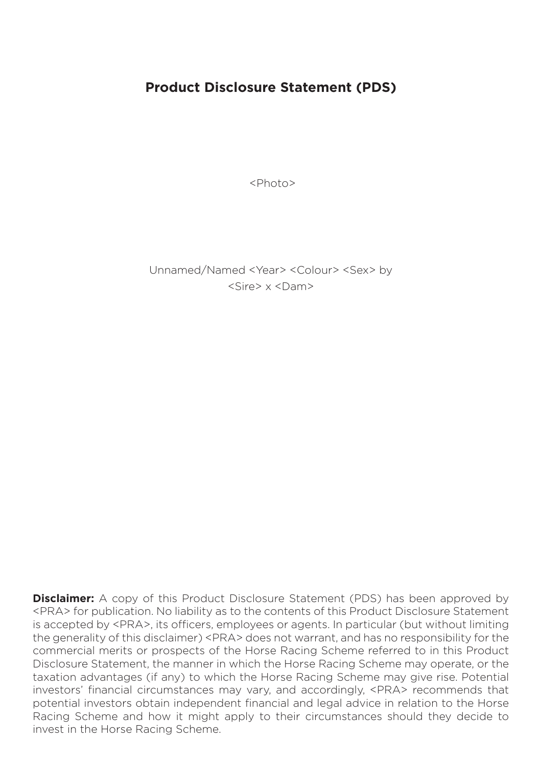# **Product Disclosure Statement (PDS)**

<Photo>

Unnamed/Named <Year> <Colour> <Sex> by <Sire> x <Dam>

**Disclaimer:** A copy of this Product Disclosure Statement (PDS) has been approved by <PRA> for publication. No liability as to the contents of this Product Disclosure Statement is accepted by <PRA>, its officers, employees or agents. In particular (but without limiting the generality of this disclaimer) <PRA> does not warrant, and has no responsibility for the commercial merits or prospects of the Horse Racing Scheme referred to in this Product Disclosure Statement, the manner in which the Horse Racing Scheme may operate, or the taxation advantages (if any) to which the Horse Racing Scheme may give rise. Potential investors' financial circumstances may vary, and accordingly, <PRA> recommends that potential investors obtain independent financial and legal advice in relation to the Horse Racing Scheme and how it might apply to their circumstances should they decide to invest in the Horse Racing Scheme.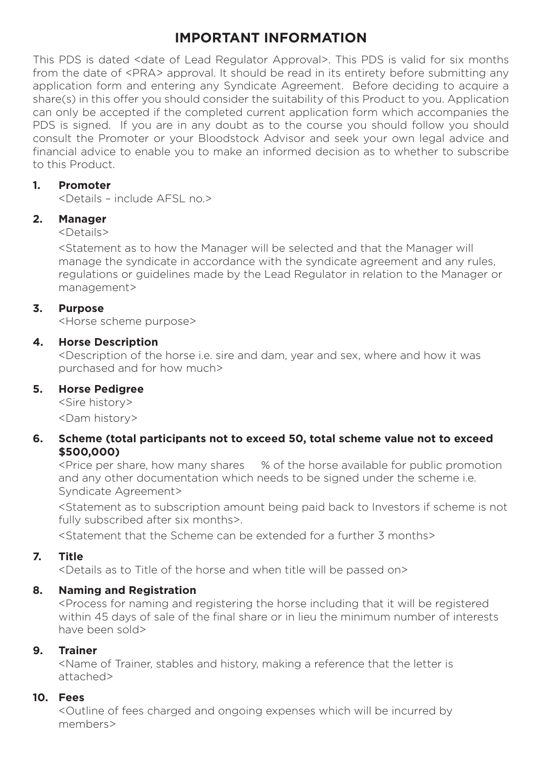# **IMPORTANT INFORMATION**

This PDS is dated <date of Lead Regulator Approval>. This PDS is valid for six months from the date of <PRA> approval. It should be read in its entirety before submitting any application form and entering any Syndicate Agreement. Before deciding to acquire a share(s) in this offer you should consider the suitability of this Product to you. Application can only be accepted if the completed current application form which accompanies the PDS is signed. If you are in any doubt as to the course you should follow you should consult the Promoter or your Bloodstock Advisor and seek your own legal advice and financial advice to enable you to make an informed decision as to whether to subscribe to this Product.

### **1. Promoter**

<Details – include AFSL no.>

## **2. Manager**

<Details>

<Statement as to how the Manager will be selected and that the Manager will manage the syndicate in accordance with the syndicate agreement and any rules, regulations or guidelines made by the Lead Regulator in relation to the Manager or management>

## **3. Purpose**

<Horse scheme purpose>

## **4. Horse Description**

<Description of the horse i.e. sire and dam, year and sex, where and how it was purchased and for how much>

## **5. Horse Pedigree**

<Sire history> <Dam history>

### **6. Scheme (total participants not to exceed 50, total scheme value not to exceed \$500,000)**

<Price per share, how many shares % of the horse available for public promotion and any other documentation which needs to be signed under the scheme i.e. Syndicate Agreement>

<Statement as to subscription amount being paid back to Investors if scheme is not fully subscribed after six months>.

<Statement that the Scheme can be extended for a further 3 months>

## **7. Title**

<Details as to Title of the horse and when title will be passed on>

## **8. Naming and Registration**

<Process for naming and registering the horse including that it will be registered within 45 days of sale of the final share or in lieu the minimum number of interests have been sold>

## **9. Trainer**

<Name of Trainer, stables and history, making a reference that the letter is attached>

## **10. Fees**

<Outline of fees charged and ongoing expenses which will be incurred by members>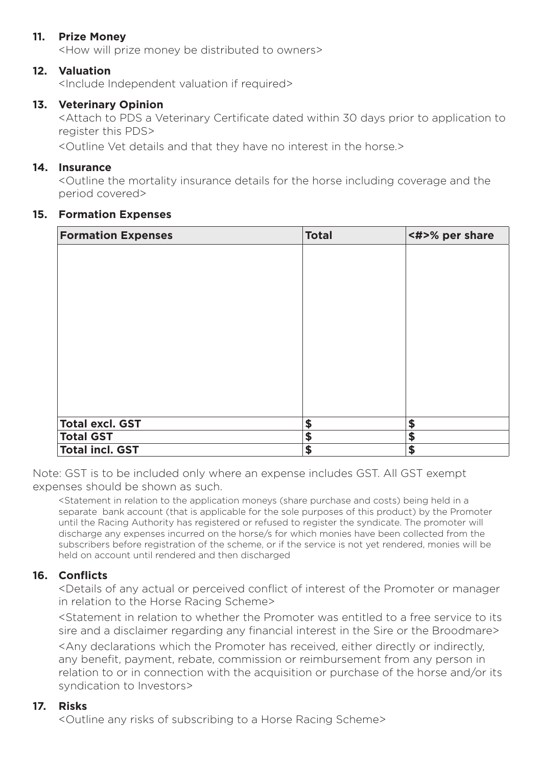### **11. Prize Money**

<How will prize money be distributed to owners>

#### **12. Valuation**

<Include Independent valuation if required>

#### **13. Veterinary Opinion**

<Attach to PDS a Veterinary Certificate dated within 30 days prior to application to register this PDS>

<Outline Vet details and that they have no interest in the horse.>

#### **14. Insurance**

<Outline the mortality insurance details for the horse including coverage and the period covered>

#### **15. Formation Expenses**

| <b>Formation Expenses</b> | <b>Total</b> | <#>% per share |
|---------------------------|--------------|----------------|
|                           |              |                |
|                           |              |                |
|                           |              |                |
|                           |              |                |
|                           |              |                |
|                           |              |                |
|                           |              |                |
|                           |              |                |
|                           |              |                |
|                           |              |                |
| <b>Total excl. GST</b>    | \$           | \$             |
| <b>Total GST</b>          | \$           | \$             |
| <b>Total incl. GST</b>    | \$           | \$             |

Note: GST is to be included only where an expense includes GST. All GST exempt expenses should be shown as such.

<Statement in relation to the application moneys (share purchase and costs) being held in a separate bank account (that is applicable for the sole purposes of this product) by the Promoter until the Racing Authority has registered or refused to register the syndicate. The promoter will discharge any expenses incurred on the horse/s for which monies have been collected from the subscribers before registration of the scheme, or if the service is not yet rendered, monies will be held on account until rendered and then discharged

#### **16. Conflicts**

<Details of any actual or perceived conflict of interest of the Promoter or manager in relation to the Horse Racing Scheme>

<Statement in relation to whether the Promoter was entitled to a free service to its sire and a disclaimer regarding any financial interest in the Sire or the Broodmare>

<Any declarations which the Promoter has received, either directly or indirectly, any benefit, payment, rebate, commission or reimbursement from any person in relation to or in connection with the acquisition or purchase of the horse and/or its syndication to Investors>

#### **17. Risks**

<Outline any risks of subscribing to a Horse Racing Scheme>